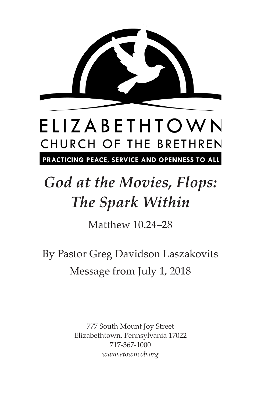

# ELIZABETHTOWN CHURCH OF THE BRETHREN

PRACTICING PEACE, SERVICE AND OPENNESS TO ALL

## *God at the Movies, Flops: The Spark Within*

Matthew 10.24–28

By Pastor Greg Davidson Laszakovits Message from July 1, 2018

> 777 South Mount Joy Street Elizabethtown, Pennsylvania 17022 717-367-1000 *www.etowncob.org*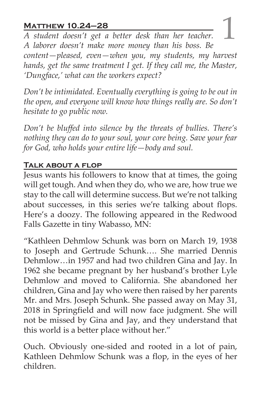**MATTHEW 10.24–28**<br>A student doesn't get a better desk than her teacher.<br>A laborar doesn't make more money than his boss. Be *A student doesn't get a better desk than her teacher. A laborer doesn't make more money than his boss. Be content—pleased, even—when you, my students, my harvest hands, get the same treatment I get. If they call me, the Master, 'Dungface,' what can the workers expect?*

*Don't be intimidated. Eventually everything is going to be out in the open, and everyone will know how things really are. So don't hesitate to go public now.*

*Don't be bluffed into silence by the threats of bullies. There's nothing they can do to your soul, your core being. Save your fear for God, who holds your entire life—body and soul.*

### **Talk about a flop**

Jesus wants his followers to know that at times, the going will get tough. And when they do, who we are, how true we stay to the call will determine success. But we're not talking about successes, in this series we're talking about flops. Here's a doozy. The following appeared in the Redwood Falls Gazette in tiny Wabasso, MN:

"Kathleen Dehmlow Schunk was born on March 19, 1938 to Joseph and Gertrude Schunk…. She married Dennis Dehmlow…in 1957 and had two children Gina and Jay. In 1962 she became pregnant by her husband's brother Lyle Dehmlow and moved to California. She abandoned her children, Gina and Jay who were then raised by her parents Mr. and Mrs. Joseph Schunk. She passed away on May 31, 2018 in Springfield and will now face judgment. She will not be missed by Gina and Jay, and they understand that this world is a better place without her."

Ouch. Obviously one-sided and rooted in a lot of pain, Kathleen Dehmlow Schunk was a flop, in the eyes of her children.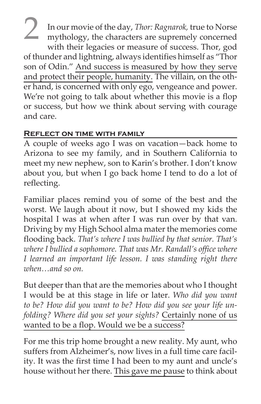2 In our movie of the day, *Thor: Ragnarok*, true to Norse<br>mythology, the characters are supremely concerned with their legacies or measure of success. Thor, god of thunder and lightning, always identifies himself as "Thor son of Odin." And success is measured by how they serve and protect their people, humanity. The villain, on the other hand, is concerned with only ego, vengeance and power. We're not going to talk about whether this movie is a flop or success, but how we think about serving with courage and care.

### **Reflect on time with family**

A couple of weeks ago I was on vacation—back home to Arizona to see my family, and in Southern California to meet my new nephew, son to Karin's brother. I don't know about you, but when I go back home I tend to do a lot of reflecting.

Familiar places remind you of some of the best and the worst. We laugh about it now, but I showed my kids the hospital I was at when after I was run over by that van. Driving by my High School alma mater the memories come flooding back. *That's where I was bullied by that senior. That's where I bullied a sophomore. That was Mr. Randall's office where I learned an important life lesson. I was standing right there when…and so on.*

But deeper than that are the memories about who I thought I would be at this stage in life or later. *Who did you want to be? How did you want to be? How did you see your life unfolding? Where did you set your sights?* Certainly none of us wanted to be a flop. Would we be a success?

For me this trip home brought a new reality. My aunt, who suffers from Alzheimer's, now lives in a full time care facility. It was the first time I had been to my aunt and uncle's house without her there. This gave me pause to think about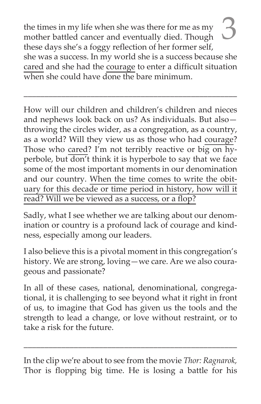the times in my life when she was there for me as my mother battled cancer and eventually died. Though these days she's a foggy reflection of her former self, she was a success. In my world she is a success because she cared and she had the courage to enter a difficult situation when she could have done the bare minimum.

\_\_\_\_\_\_\_\_\_\_\_\_\_\_\_\_\_\_\_\_\_\_\_\_\_\_\_\_\_\_\_\_\_\_\_\_\_\_\_\_\_\_\_\_\_\_\_\_\_\_\_

How will our children and children's children and nieces and nephews look back on us? As individuals. But also throwing the circles wider, as a congregation, as a country, as a world? Will they view us as those who had courage? Those who cared? I'm not terribly reactive or big on  $\overline{hy}$ perbole, but don't think it is hyperbole to say that we face some of the most important moments in our denomination and our country. When the time comes to write the obituary for this decade or time period in history, how will it read? Will we be viewed as a success, or a flop?

Sadly, what I see whether we are talking about our denomination or country is a profound lack of courage and kindness, especially among our leaders.

I also believe this is a pivotal moment in this congregation's history. We are strong, loving—we care. Are we also courageous and passionate?

In all of these cases, national, denominational, congregational, it is challenging to see beyond what it right in front of us, to imagine that God has given us the tools and the strength to lead a change, or love without restraint, or to take a risk for the future.

In the clip we're about to see from the movie *Thor: Ragnarok,* Thor is flopping big time. He is losing a battle for his

\_\_\_\_\_\_\_\_\_\_\_\_\_\_\_\_\_\_\_\_\_\_\_\_\_\_\_\_\_\_\_\_\_\_\_\_\_\_\_\_\_\_\_\_\_\_\_\_\_\_\_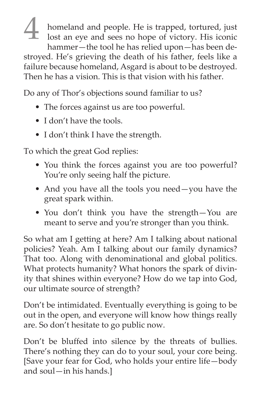homeland and people. He is trapped, tortured, just lost an eye and sees no hope of victory. His iconic hammer—the tool he has relied upon—has been destroyed. He's grieving the death of his father, feels like a failure because homeland, Asgard is about to be destroyed. Then he has a vision. This is that vision with his father.

Do any of Thor's objections sound familiar to us?

- The forces against us are too powerful.
- I don't have the tools.
- I don't think I have the strength.

To which the great God replies:

- You think the forces against you are too powerful? You're only seeing half the picture.
- And you have all the tools you need—you have the great spark within.
- You don't think you have the strength—You are meant to serve and you're stronger than you think.

So what am I getting at here? Am I talking about national policies? Yeah. Am I talking about our family dynamics? That too. Along with denominational and global politics. What protects humanity? What honors the spark of divinity that shines within everyone? How do we tap into God, our ultimate source of strength?

Don't be intimidated. Eventually everything is going to be out in the open, and everyone will know how things really are. So don't hesitate to go public now.

Don't be bluffed into silence by the threats of bullies. There's nothing they can do to your soul, your core being. [Save your fear for God, who holds your entire life—body and soul—in his hands.]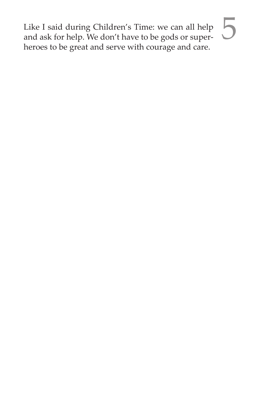Like I said during Children's Time: we can all help  $\overline{\phantom{a}}$ <br>and ask for help. We don't have to be gods or superheroes to be great and serve with courage and care.